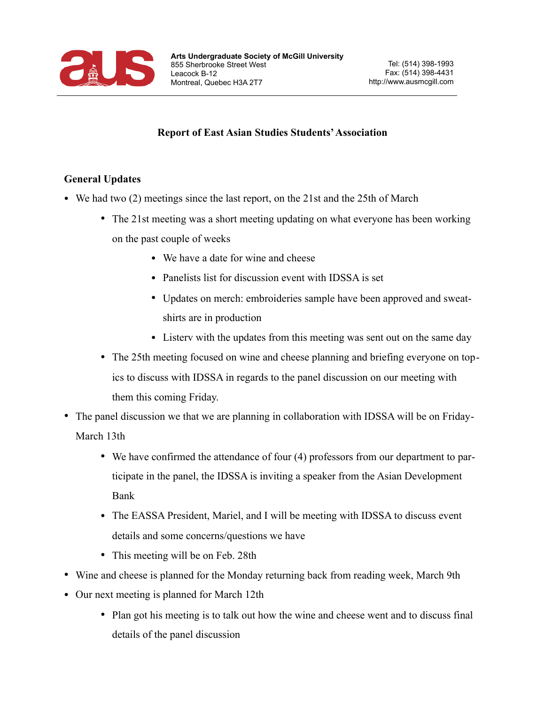

## **Report of East Asian Studies Students' Association**

## **General Updates**

- We had two (2) meetings since the last report, on the 21st and the 25th of March
	- The 21st meeting was a short meeting updating on what everyone has been working on the past couple of weeks
		- We have a date for wine and cheese
		- Panelists list for discussion event with IDSSA is set
		- Updates on merch: embroideries sample have been approved and sweatshirts are in production
		- Listery with the updates from this meeting was sent out on the same day
	- The 25th meeting focused on wine and cheese planning and briefing everyone on topics to discuss with IDSSA in regards to the panel discussion on our meeting with them this coming Friday.
- The panel discussion we that we are planning in collaboration with IDSSA will be on Friday-March 13th
	- We have confirmed the attendance of four (4) professors from our department to participate in the panel, the IDSSA is inviting a speaker from the Asian Development Bank
	- The EASSA President, Mariel, and I will be meeting with IDSSA to discuss event details and some concerns/questions we have
	- This meeting will be on Feb. 28th
- Wine and cheese is planned for the Monday returning back from reading week, March 9th
- Our next meeting is planned for March 12th
	- Plan got his meeting is to talk out how the wine and cheese went and to discuss final details of the panel discussion